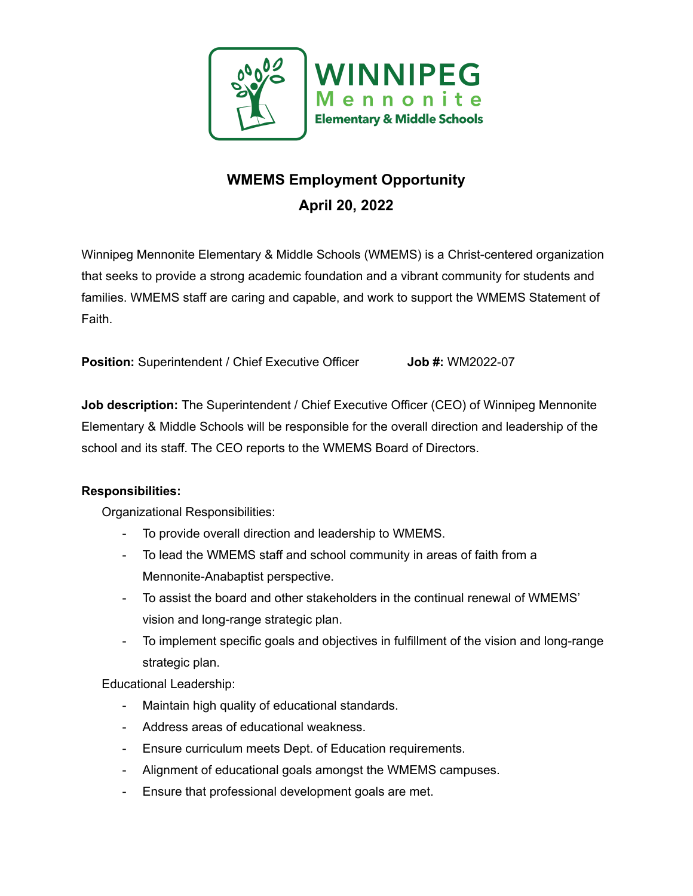

## **WMEMS Employment Opportunity April 20, 2022**

Winnipeg Mennonite Elementary & Middle Schools (WMEMS) is a Christ-centered organization that seeks to provide a strong academic foundation and a vibrant community for students and families. WMEMS staff are caring and capable, and work to support the WMEMS Statement of Faith.

**Position:** Superintendent / Chief Executive Officer **Job #:** WM2022-07

**Job description:** The Superintendent / Chief Executive Officer (CEO) of Winnipeg Mennonite Elementary & Middle Schools will be responsible for the overall direction and leadership of the school and its staff. The CEO reports to the WMEMS Board of Directors.

## **Responsibilities:**

Organizational Responsibilities:

- To provide overall direction and leadership to WMEMS.
- To lead the WMEMS staff and school community in areas of faith from a Mennonite-Anabaptist perspective.
- To assist the board and other stakeholders in the continual renewal of WMEMS' vision and long-range strategic plan.
- To implement specific goals and objectives in fulfillment of the vision and long-range strategic plan.

Educational Leadership:

- Maintain high quality of educational standards.
- Address areas of educational weakness.
- Ensure curriculum meets Dept. of Education requirements.
- Alignment of educational goals amongst the WMEMS campuses.
- Ensure that professional development goals are met.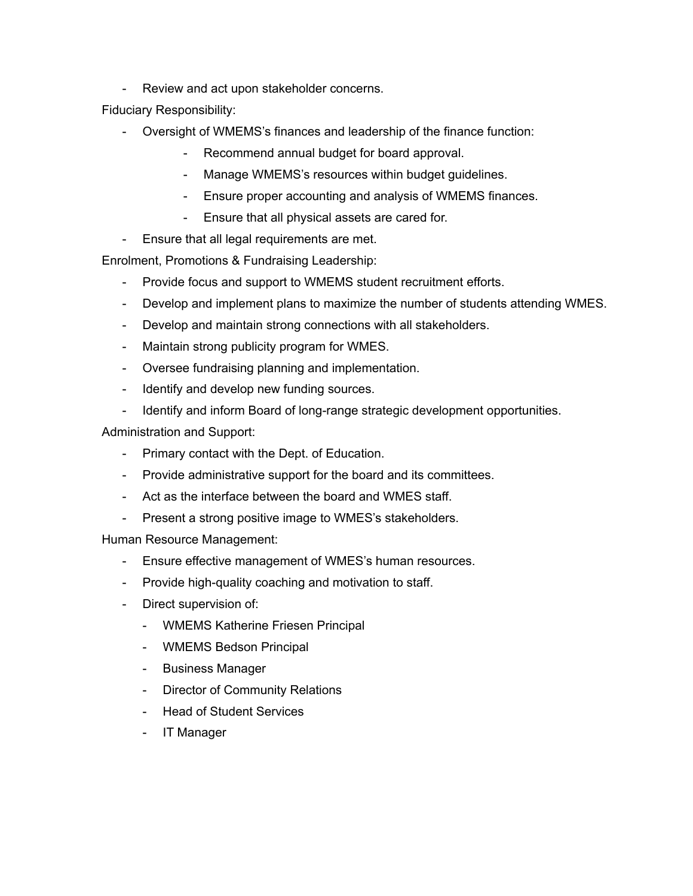- Review and act upon stakeholder concerns.

Fiduciary Responsibility:

- Oversight of WMEMS's finances and leadership of the finance function:
	- Recommend annual budget for board approval.
	- Manage WMEMS's resources within budget guidelines.
	- Ensure proper accounting and analysis of WMEMS finances.
	- Ensure that all physical assets are cared for.
- Ensure that all legal requirements are met.

Enrolment, Promotions & Fundraising Leadership:

- Provide focus and support to WMEMS student recruitment efforts.
- Develop and implement plans to maximize the number of students attending WMES.
- Develop and maintain strong connections with all stakeholders.
- Maintain strong publicity program for WMES.
- Oversee fundraising planning and implementation.
- Identify and develop new funding sources.
- Identify and inform Board of long-range strategic development opportunities.

Administration and Support:

- Primary contact with the Dept. of Education.
- Provide administrative support for the board and its committees.
- Act as the interface between the board and WMES staff.
- Present a strong positive image to WMES's stakeholders.

Human Resource Management:

- Ensure effective management of WMES's human resources.
- Provide high-quality coaching and motivation to staff.
- Direct supervision of:
	- WMEMS Katherine Friesen Principal
	- WMEMS Bedson Principal
	- Business Manager
	- Director of Community Relations
	- Head of Student Services
	- IT Manager